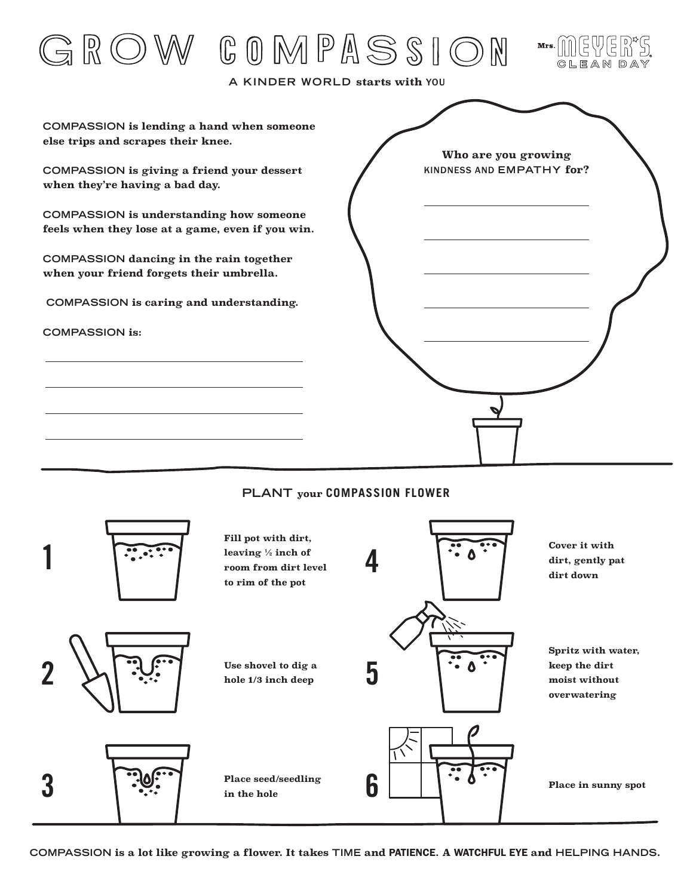

## **PLANT your COMPASSION FLOWER**



**COMPASSION is a lot like growing a flower. It takes TIME and** PATIENCE**. A** WATCHFUL EYE **and HELPING HANDS.**